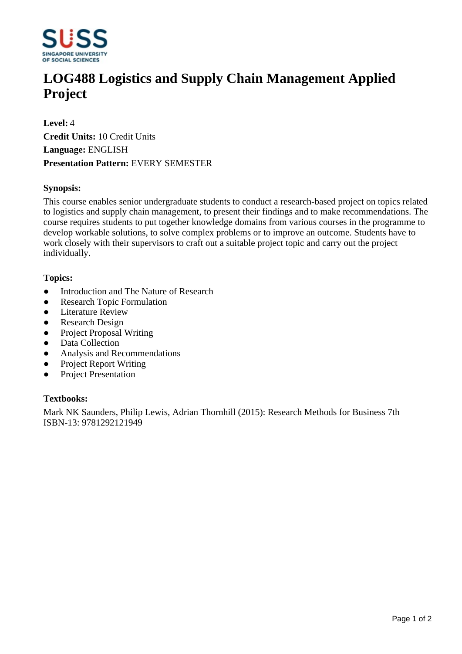

# **LOG488 Logistics and Supply Chain Management Applied Project**

**Level:** 4 **Credit Units:** 10 Credit Units **Language:** ENGLISH **Presentation Pattern:** EVERY SEMESTER

## **Synopsis:**

This course enables senior undergraduate students to conduct a research-based project on topics related to logistics and supply chain management, to present their findings and to make recommendations. The course requires students to put together knowledge domains from various courses in the programme to develop workable solutions, to solve complex problems or to improve an outcome. Students have to work closely with their supervisors to craft out a suitable project topic and carry out the project individually.

## **Topics:**

- Introduction and The Nature of Research
- Research Topic Formulation
- Literature Review
- Research Design
- Project Proposal Writing
- Data Collection
- Analysis and Recommendations
- Project Report Writing
- Project Presentation

## **Textbooks:**

Mark NK Saunders, Philip Lewis, Adrian Thornhill (2015): Research Methods for Business 7th ISBN-13: 9781292121949